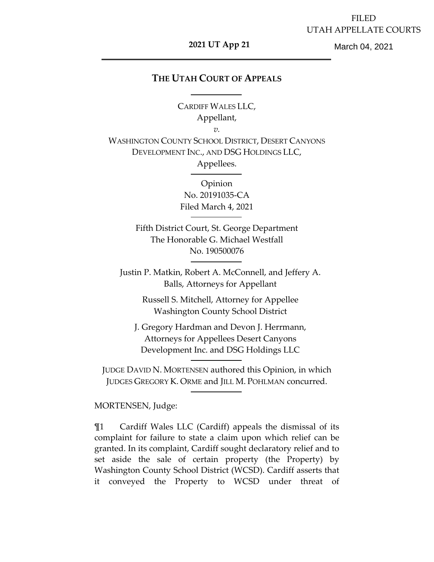# FILED UTAH APPELLATE COURTS

#### **2021 UT App 21**

March 04, 2021

## **THE UTAH COURT OF APPEALS**

CARDIFF WALES LLC, Appellant,

*v.*

WASHINGTON COUNTY SCHOOL DISTRICT, DESERT CANYONS DEVELOPMENT INC., AND DSG HOLDINGS LLC, Appellees.

> Opinion No. 20191035-CA Filed March 4, 2021

Fifth District Court, St. George Department The Honorable G. Michael Westfall No. 190500076

Justin P. Matkin, Robert A. McConnell, and Jeffery A. Balls, Attorneys for Appellant

> Russell S. Mitchell, Attorney for Appellee Washington County School District

J. Gregory Hardman and Devon J. Herrmann, Attorneys for Appellees Desert Canyons Development Inc. and DSG Holdings LLC

JUDGE DAVID N. MORTENSEN authored this Opinion, in which JUDGES GREGORY K. ORME and JILL M. POHLMAN concurred.

#### MORTENSEN, Judge:

¶1 Cardiff Wales LLC (Cardiff) appeals the dismissal of its complaint for failure to state a claim upon which relief can be granted. In its complaint, Cardiff sought declaratory relief and to set aside the sale of certain property (the Property) by Washington County School District (WCSD). Cardiff asserts that it conveyed the Property to WCSD under threat of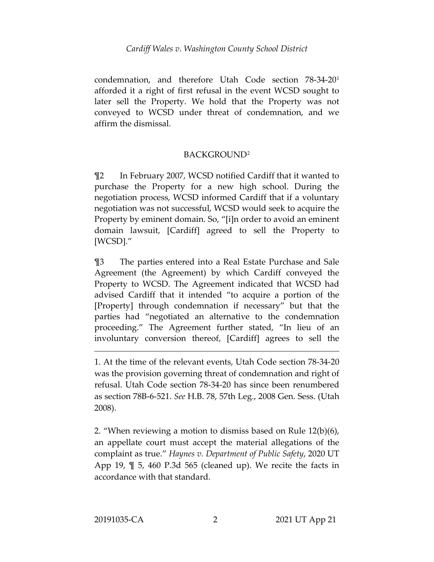condemnation, and therefore Utah Code section 78-34-20[1](#page-1-0) afforded it a right of first refusal in the event WCSD sought to later sell the Property. We hold that the Property was not conveyed to WCSD under threat of condemnation, and we affirm the dismissal.

#### BACKGROUND[2](#page-1-1)

¶2 In February 2007, WCSD notified Cardiff that it wanted to purchase the Property for a new high school. During the negotiation process, WCSD informed Cardiff that if a voluntary negotiation was not successful, WCSD would seek to acquire the Property by eminent domain. So, "[i]n order to avoid an eminent domain lawsuit, [Cardiff] agreed to sell the Property to [WCSD]."

¶3 The parties entered into a Real Estate Purchase and Sale Agreement (the Agreement) by which Cardiff conveyed the Property to WCSD. The Agreement indicated that WCSD had advised Cardiff that it intended "to acquire a portion of the [Property] through condemnation if necessary" but that the parties had "negotiated an alternative to the condemnation proceeding." The Agreement further stated, "In lieu of an involuntary conversion thereof, [Cardiff] agrees to sell the

<span id="page-1-0"></span>1. At the time of the relevant events, Utah Code section 78-34-20 was the provision governing threat of condemnation and right of refusal. Utah Code section 78-34-20 has since been renumbered as section 78B-6-521. *See* H.B. 78, 57th Leg., 2008 Gen. Sess. (Utah 2008).

<span id="page-1-1"></span>2. "When reviewing a motion to dismiss based on Rule 12(b)(6), an appellate court must accept the material allegations of the complaint as true." *Haynes v. Department of Public Safety*, 2020 UT App 19, ¶ 5, 460 P.3d 565 (cleaned up). We recite the facts in accordance with that standard.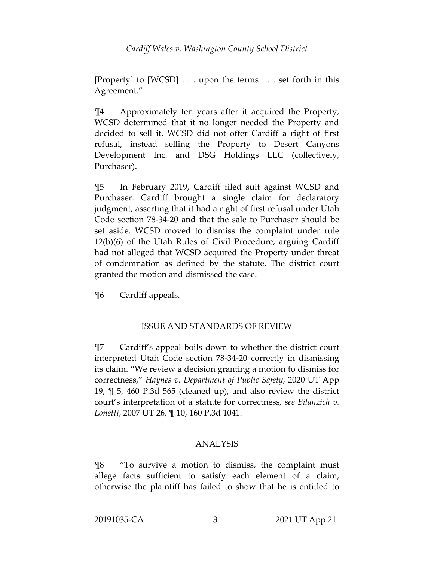[Property] to [WCSD] . . . upon the terms . . . set forth in this Agreement."

¶4 Approximately ten years after it acquired the Property, WCSD determined that it no longer needed the Property and decided to sell it. WCSD did not offer Cardiff a right of first refusal, instead selling the Property to Desert Canyons Development Inc. and DSG Holdings LLC (collectively, Purchaser).

¶5 In February 2019, Cardiff filed suit against WCSD and Purchaser. Cardiff brought a single claim for declaratory judgment, asserting that it had a right of first refusal under Utah Code section 78-34-20 and that the sale to Purchaser should be set aside. WCSD moved to dismiss the complaint under rule 12(b)(6) of the Utah Rules of Civil Procedure, arguing Cardiff had not alleged that WCSD acquired the Property under threat of condemnation as defined by the statute. The district court granted the motion and dismissed the case.

¶6 Cardiff appeals.

## ISSUE AND STANDARDS OF REVIEW

¶7 Cardiff's appeal boils down to whether the district court interpreted Utah Code section 78-34-20 correctly in dismissing its claim. "We review a decision granting a motion to dismiss for correctness," *Haynes v. Department of Public Safety*, 2020 UT App 19, ¶ 5, 460 P.3d 565 (cleaned up), and also review the district court's interpretation of a statute for correctness, *see Bilanzich v. Lonetti*, 2007 UT 26, ¶ 10, 160 P.3d 1041.

## ANALYSIS

¶8 "To survive a motion to dismiss, the complaint must allege facts sufficient to satisfy each element of a claim, otherwise the plaintiff has failed to show that he is entitled to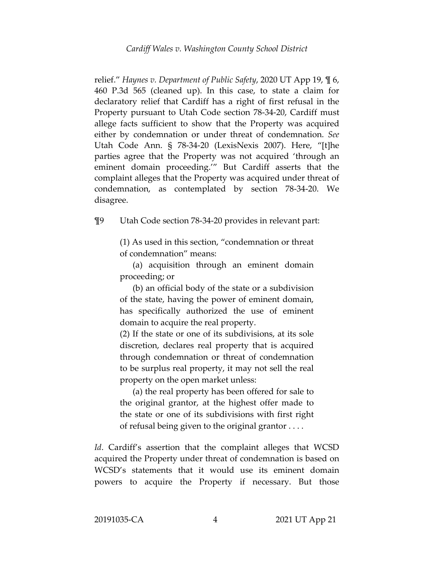relief." *Haynes v. Department of Public Safety*, 2020 UT App 19, ¶ 6, 460 P.3d 565 (cleaned up). In this case, to state a claim for declaratory relief that Cardiff has a right of first refusal in the Property pursuant to Utah Code section 78-34-20, Cardiff must allege facts sufficient to show that the Property was acquired either by condemnation or under threat of condemnation. *See* Utah Code Ann. § 78-34-20 (LexisNexis 2007). Here, "[t]he parties agree that the Property was not acquired 'through an eminent domain proceeding.'" But Cardiff asserts that the complaint alleges that the Property was acquired under threat of condemnation, as contemplated by section 78-34-20. We disagree.

¶9 Utah Code section 78-34-20 provides in relevant part:

(1) As used in this section, "condemnation or threat of condemnation" means:

(a) acquisition through an eminent domain proceeding; or

(b) an official body of the state or a subdivision of the state, having the power of eminent domain, has specifically authorized the use of eminent domain to acquire the real property.

(2) If the state or one of its subdivisions, at its sole discretion, declares real property that is acquired through condemnation or threat of condemnation to be surplus real property, it may not sell the real property on the open market unless:

(a) the real property has been offered for sale to the original grantor, at the highest offer made to the state or one of its subdivisions with first right of refusal being given to the original grantor . . . .

*Id*. Cardiff's assertion that the complaint alleges that WCSD acquired the Property under threat of condemnation is based on WCSD's statements that it would use its eminent domain powers to acquire the Property if necessary. But those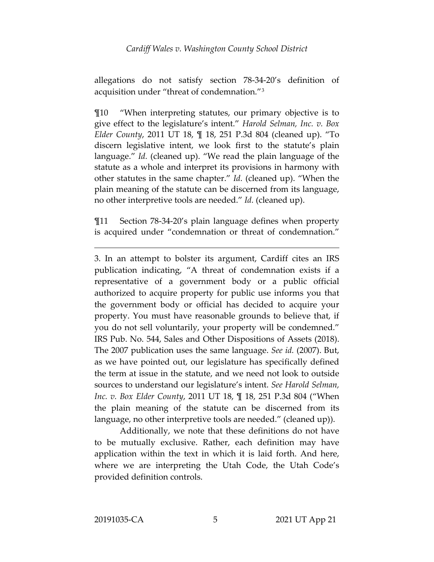allegations do not satisfy section 78-34-20's definition of acquisition under "threat of condemnation."[3](#page-4-0)

¶10 "When interpreting statutes, our primary objective is to give effect to the legislature's intent." *Harold Selman, Inc. v. Box Elder County*, 2011 UT 18, ¶ 18, 251 P.3d 804 (cleaned up). "To discern legislative intent, we look first to the statute's plain language." *Id.* (cleaned up). "We read the plain language of the statute as a whole and interpret its provisions in harmony with other statutes in the same chapter." *Id.* (cleaned up). "When the plain meaning of the statute can be discerned from its language, no other interpretive tools are needed." *Id.* (cleaned up).

¶11 Section 78-34-20's plain language defines when property is acquired under "condemnation or threat of condemnation."

<span id="page-4-0"></span>3. In an attempt to bolster its argument, Cardiff cites an IRS publication indicating, "A threat of condemnation exists if a representative of a government body or a public official authorized to acquire property for public use informs you that the government body or official has decided to acquire your property. You must have reasonable grounds to believe that, if you do not sell voluntarily, your property will be condemned." IRS Pub. No. 544, Sales and Other Dispositions of Assets (2018). The 2007 publication uses the same language. *See id.* (2007). But, as we have pointed out, our legislature has specifically defined the term at issue in the statute, and we need not look to outside sources to understand our legislature's intent. *See Harold Selman, Inc. v. Box Elder County*, 2011 UT 18, ¶ 18, 251 P.3d 804 ("When the plain meaning of the statute can be discerned from its language, no other interpretive tools are needed." (cleaned up)).

Additionally, we note that these definitions do not have to be mutually exclusive. Rather, each definition may have application within the text in which it is laid forth. And here, where we are interpreting the Utah Code, the Utah Code's provided definition controls.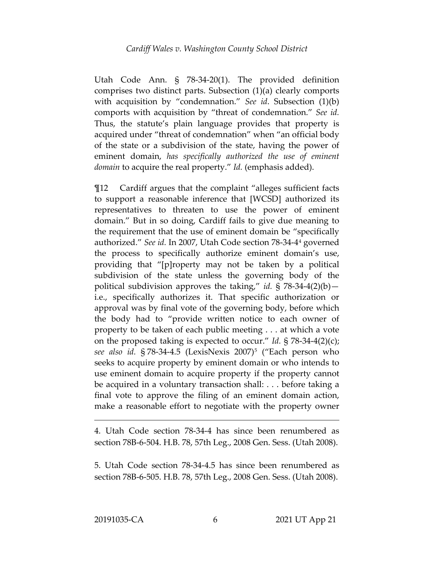Utah Code Ann. § 78-34-20(1). The provided definition comprises two distinct parts. Subsection (1)(a) clearly comports with acquisition by "condemnation." *See id*. Subsection (1)(b) comports with acquisition by "threat of condemnation." *See id.* Thus, the statute's plain language provides that property is acquired under "threat of condemnation" when "an official body of the state or a subdivision of the state, having the power of eminent domain, *has specifically authorized the use of eminent domain* to acquire the real property." *Id.* (emphasis added).

¶12 Cardiff argues that the complaint "alleges sufficient facts to support a reasonable inference that [WCSD] authorized its representatives to threaten to use the power of eminent domain." But in so doing, Cardiff fails to give due meaning to the requirement that the use of eminent domain be "specifically authorized." *See id.* In 2007, Utah Code section 78-34-4[4](#page-5-0) governed the process to specifically authorize eminent domain's use, providing that "[p]roperty may not be taken by a political subdivision of the state unless the governing body of the political subdivision approves the taking," *id.* § 78-34-4(2)(b) i.e., specifically authorizes it. That specific authorization or approval was by final vote of the governing body, before which the body had to "provide written notice to each owner of property to be taken of each public meeting . . . at which a vote on the proposed taking is expected to occur." *Id.* § 78-34-4(2)(c); *see also id.* § 78-34-4.5 (LexisNexis 2007)[5](#page-5-1) ("Each person who seeks to acquire property by eminent domain or who intends to use eminent domain to acquire property if the property cannot be acquired in a voluntary transaction shall: . . . before taking a final vote to approve the filing of an eminent domain action, make a reasonable effort to negotiate with the property owner

<span id="page-5-0"></span>4. Utah Code section 78-34-4 has since been renumbered as section 78B-6-504. H.B. 78, 57th Leg., 2008 Gen. Sess. (Utah 2008).

<span id="page-5-1"></span><sup>5.</sup> Utah Code section 78-34-4.5 has since been renumbered as section 78B-6-505. H.B. 78, 57th Leg., 2008 Gen. Sess. (Utah 2008).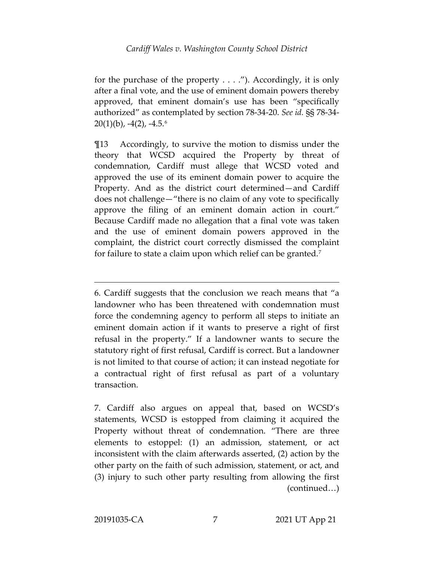for the purchase of the property  $\dots$ ."). Accordingly, it is only after a final vote, and the use of eminent domain powers thereby approved, that eminent domain's use has been "specifically authorized" as contemplated by section 78-34-20. *See id.* §§ 78-34-  $20(1)(b)$ ,  $-4(2)$ ,  $-4.5.^6$  $-4.5.^6$ 

¶13 Accordingly, to survive the motion to dismiss under the theory that WCSD acquired the Property by threat of condemnation, Cardiff must allege that WCSD voted and approved the use of its eminent domain power to acquire the Property. And as the district court determined—and Cardiff does not challenge—"there is no claim of any vote to specifically approve the filing of an eminent domain action in court." Because Cardiff made no allegation that a final vote was taken and the use of eminent domain powers approved in the complaint, the district court correctly dismissed the complaint for failure to state a claim upon which relief can be granted.[7](#page-6-1)

<span id="page-6-0"></span><sup>6.</sup> Cardiff suggests that the conclusion we reach means that "a landowner who has been threatened with condemnation must force the condemning agency to perform all steps to initiate an eminent domain action if it wants to preserve a right of first refusal in the property." If a landowner wants to secure the statutory right of first refusal, Cardiff is correct. But a landowner is not limited to that course of action; it can instead negotiate for a contractual right of first refusal as part of a voluntary transaction.

<span id="page-6-1"></span><sup>7.</sup> Cardiff also argues on appeal that, based on WCSD's statements, WCSD is estopped from claiming it acquired the Property without threat of condemnation. "There are three elements to estoppel: (1) an admission, statement, or act inconsistent with the claim afterwards asserted, (2) action by the other party on the faith of such admission, statement, or act, and (3) injury to such other party resulting from allowing the first (continued…)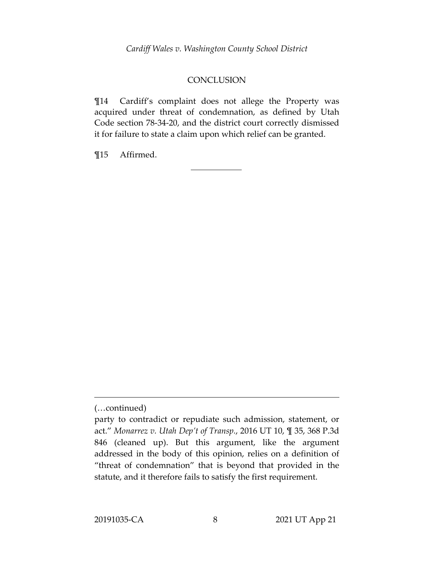#### **CONCLUSION**

¶14 Cardiff's complaint does not allege the Property was acquired under threat of condemnation, as defined by Utah Code section 78-34-20, and the district court correctly dismissed it for failure to state a claim upon which relief can be granted.

¶15 Affirmed.

<sup>(…</sup>continued)

party to contradict or repudiate such admission, statement, or act." *Monarrez v. Utah Dep't of Transp.*, 2016 UT 10, ¶ 35, 368 P.3d 846 (cleaned up). But this argument, like the argument addressed in the body of this opinion, relies on a definition of "threat of condemnation" that is beyond that provided in the statute, and it therefore fails to satisfy the first requirement.